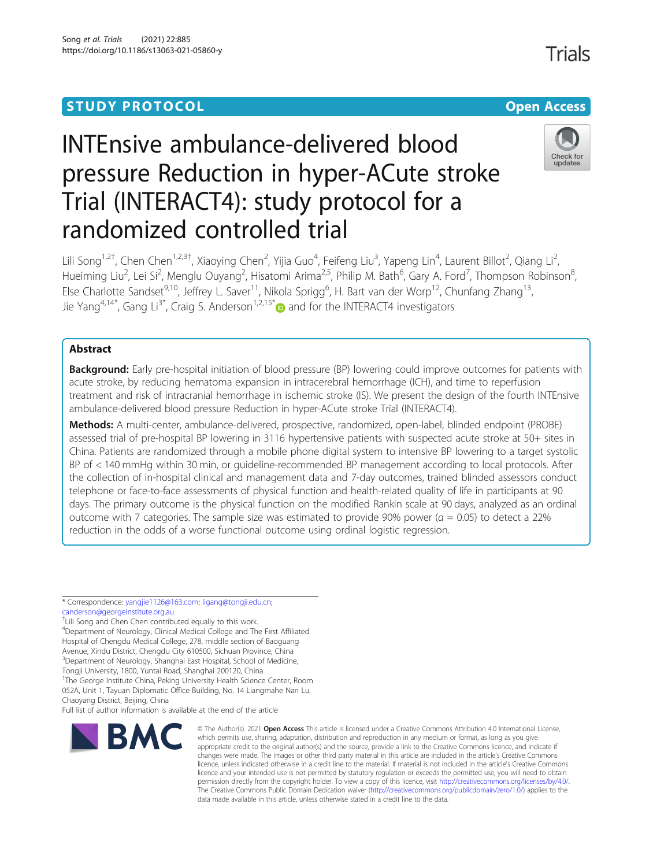# **STUDY PROTOCOL CONSUMING THE CONSUMING OPEN ACCESS**

# INTEnsive ambulance-delivered blood pressure Reduction in hyper-ACute stroke Trial (INTERACT4): study protocol for a randomized controlled trial



Lili Song<sup>1,2†</sup>, Chen Chen<sup>1,2,3†</sup>, Xiaoying Chen<sup>2</sup>, Yijia Guo<sup>4</sup>, Feifeng Liu<sup>3</sup>, Yapeng Lin<sup>4</sup>, Laurent Billot<sup>2</sup>, Qiang Li<sup>2</sup> , Hueiming Liu<sup>2</sup>, Lei Si<sup>2</sup>, Menglu Ouyang<sup>2</sup>, Hisatomi Arima<sup>2,5</sup>, Philip M. Bath<sup>6</sup>, Gary A. Ford<sup>7</sup>, Thompson Robinson<sup>8</sup> , Else Charlotte Sandset<sup>9,10</sup>, Jeffrey L. Saver<sup>11</sup>, Nikola Sprigg<sup>6</sup>, H. Bart van der Worp<sup>12</sup>, Chunfang Zhang<sup>13</sup>, Jie Yang<sup>4,14[\\*](http://orcid.org/0000-0002-7248-4863)</sup>, Gang Li<sup>3\*</sup>, Craig S. Anderson<sup>1,2,15\*</sup> and for the INTERACT4 investigators

# Abstract

**Background:** Early pre-hospital initiation of blood pressure (BP) lowering could improve outcomes for patients with acute stroke, by reducing hematoma expansion in intracerebral hemorrhage (ICH), and time to reperfusion treatment and risk of intracranial hemorrhage in ischemic stroke (IS). We present the design of the fourth INTEnsive ambulance-delivered blood pressure Reduction in hyper-ACute stroke Trial (INTERACT4).

Methods: A multi-center, ambulance-delivered, prospective, randomized, open-label, blinded endpoint (PROBE) assessed trial of pre-hospital BP lowering in 3116 hypertensive patients with suspected acute stroke at 50+ sites in China. Patients are randomized through a mobile phone digital system to intensive BP lowering to a target systolic BP of < 140 mmHg within 30 min, or guideline-recommended BP management according to local protocols. After the collection of in-hospital clinical and management data and 7-day outcomes, trained blinded assessors conduct telephone or face-to-face assessments of physical function and health-related quality of life in participants at 90 days. The primary outcome is the physical function on the modified Rankin scale at 90 days, analyzed as an ordinal outcome with 7 categories. The sample size was estimated to provide 90% power ( $a = 0.05$ ) to detect a 22% reduction in the odds of a worse functional outcome using ordinal logistic regression.

\* Correspondence: [yangjie1126@163.com](mailto:yangjie1126@163.com); [ligang@tongji.edu.cn](mailto:ligang@tongji.edu.cn); [canderson@georgeinstitute.org.au](mailto:canderson@georgeinstitute.org.au)

† Lili Song and Chen Chen contributed equally to this work. 4 Department of Neurology, Clinical Medical College and The First Affiliated Hospital of Chengdu Medical College, 278, middle section of Baoguang Avenue, Xindu District, Chengdu City 610500, Sichuan Province, China <sup>3</sup>Department of Neurology, Shanghai East Hospital, School of Medicine, Tongji University, 1800, Yuntai Road, Shanghai 200120, China <sup>1</sup>The George Institute China, Peking University Health Science Center, Room

052A, Unit 1, Tayuan Diplomatic Office Building, No. 14 Liangmahe Nan Lu, Chaoyang District, Beijing, China

Full list of author information is available at the end of the article



© The Author(s), 2021 **Open Access** This article is licensed under a Creative Commons Attribution 4.0 International License, which permits use, sharing, adaptation, distribution and reproduction in any medium or format, as long as you give appropriate credit to the original author(s) and the source, provide a link to the Creative Commons licence, and indicate if changes were made. The images or other third party material in this article are included in the article's Creative Commons licence, unless indicated otherwise in a credit line to the material. If material is not included in the article's Creative Commons licence and your intended use is not permitted by statutory regulation or exceeds the permitted use, you will need to obtain permission directly from the copyright holder. To view a copy of this licence, visit [http://creativecommons.org/licenses/by/4.0/.](http://creativecommons.org/licenses/by/4.0/) The Creative Commons Public Domain Dedication waiver [\(http://creativecommons.org/publicdomain/zero/1.0/](http://creativecommons.org/publicdomain/zero/1.0/)) applies to the data made available in this article, unless otherwise stated in a credit line to the data.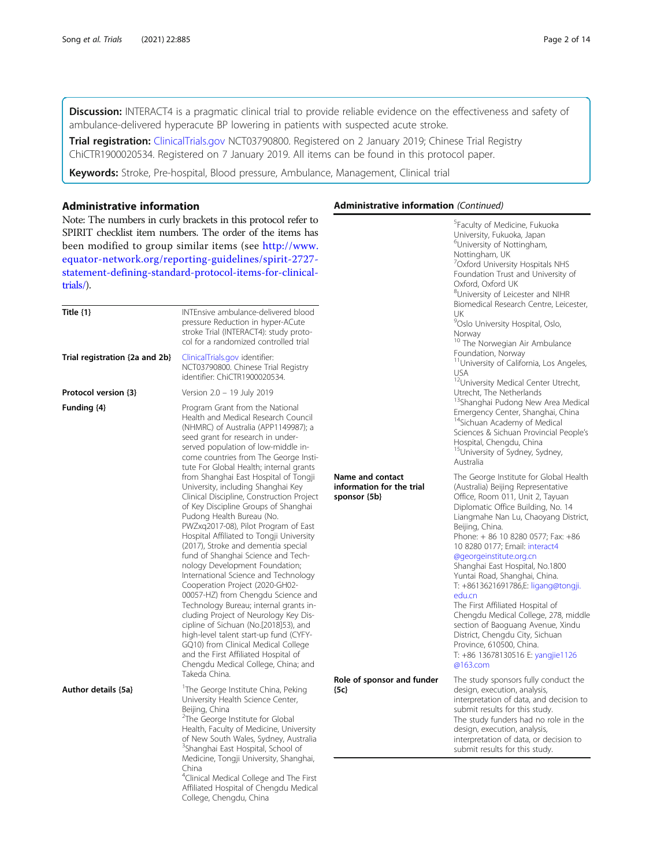Discussion: INTERACT4 is a pragmatic clinical trial to provide reliable evidence on the effectiveness and safety of ambulance-delivered hyperacute BP lowering in patients with suspected acute stroke.

Trial registration: [ClinicalTrials.gov](http://clinicaltrials.gov) NCT03790800. Registered on 2 January 2019; Chinese Trial Registry ChiCTR1900020534. Registered on 7 January 2019. All items can be found in this protocol paper.

Keywords: Stroke, Pre-hospital, Blood pressure, Ambulance, Management, Clinical trial

# Administrative information

Note: The numbers in curly brackets in this protocol refer to SPIRIT checklist item numbers. The order of the items has been modified to group similar items (see [http://www.](http://www.equator-network.org/reporting-guidelines/spirit-2727-statement-defining-standard-protocol-items-for-clinical-trials/) [equator-network.org/reporting-guidelines/spirit-2727](http://www.equator-network.org/reporting-guidelines/spirit-2727-statement-defining-standard-protocol-items-for-clinical-trials/) [statement-defining-standard-protocol-items-for-clinical](http://www.equator-network.org/reporting-guidelines/spirit-2727-statement-defining-standard-protocol-items-for-clinical-trials/)[trials/](http://www.equator-network.org/reporting-guidelines/spirit-2727-statement-defining-standard-protocol-items-for-clinical-trials/)).

| Title $\{1\}$                  | INTEnsive ambulance-delivered blood<br>pressure Reduction in hyper-ACute<br>stroke Trial (INTERACT4): study proto-<br>col for a randomized controlled trial                                                                                                                                                                                                                                                                                                                                                                                                                                                                                                                                                                                                                                                                                                                                                                                                                                                                                                                                                      |                                                               |  |
|--------------------------------|------------------------------------------------------------------------------------------------------------------------------------------------------------------------------------------------------------------------------------------------------------------------------------------------------------------------------------------------------------------------------------------------------------------------------------------------------------------------------------------------------------------------------------------------------------------------------------------------------------------------------------------------------------------------------------------------------------------------------------------------------------------------------------------------------------------------------------------------------------------------------------------------------------------------------------------------------------------------------------------------------------------------------------------------------------------------------------------------------------------|---------------------------------------------------------------|--|
| Trial registration {2a and 2b} | ClinicalTrials.gov identifier:<br>NCT03790800. Chinese Trial Registry<br>identifier: ChiCTR1900020534.                                                                                                                                                                                                                                                                                                                                                                                                                                                                                                                                                                                                                                                                                                                                                                                                                                                                                                                                                                                                           |                                                               |  |
| Protocol version {3}           | Version 2.0 - 19 July 2019                                                                                                                                                                                                                                                                                                                                                                                                                                                                                                                                                                                                                                                                                                                                                                                                                                                                                                                                                                                                                                                                                       |                                                               |  |
| Funding {4}                    | Program Grant from the National<br>Health and Medical Research Council<br>(NHMRC) of Australia (APP1149987); a<br>seed grant for research in under-<br>served population of low-middle in-<br>come countries from The George Insti-<br>tute For Global Health; internal grants<br>from Shanghai East Hospital of Tongji<br>University, including Shanghai Key<br>Clinical Discipline, Construction Project<br>of Key Discipline Groups of Shanghai<br>Pudong Health Bureau (No.<br>PWZxg2017-08), Pilot Program of East<br>Hospital Affiliated to Tongji University<br>(2017), Stroke and dementia special<br>fund of Shanghai Science and Tech-<br>nology Development Foundation;<br>International Science and Technology<br>Cooperation Project (2020-GH02-<br>00057-HZ) from Chengdu Science and<br>Technology Bureau; internal grants in-<br>cluding Project of Neurology Key Dis-<br>cipline of Sichuan (No.[2018]53), and<br>high-level talent start-up fund (CYFY-<br>GQ10) from Clinical Medical College<br>and the First Affiliated Hospital of<br>Chengdu Medical College, China; and<br>Takeda China. | Name and contact<br>information for the trial<br>sponsor {5b} |  |
| Author details {5a}            | <sup>1</sup> The George Institute China, Peking<br>University Health Science Center,<br>Beijing, China<br><sup>2</sup> The George Institute for Global                                                                                                                                                                                                                                                                                                                                                                                                                                                                                                                                                                                                                                                                                                                                                                                                                                                                                                                                                           | Role of sponsor and funder<br>${5c}$                          |  |
|                                | Health, Faculty of Medicine, University<br>of New South Wales, Sydney, Australia<br><sup>3</sup> Shanghai East Hospital, School of<br>Medicine, Tongji University, Shanghai,<br>China<br><sup>4</sup> Clinical Medical College and The First<br>Affiliated Hospital of Chengdu Medical<br>College, Chengdu, China                                                                                                                                                                                                                                                                                                                                                                                                                                                                                                                                                                                                                                                                                                                                                                                                |                                                               |  |

# Administrative information (Continued)

|                       | <sup>5</sup> Faculty of Medicine, Fukuoka<br>University, Fukuoka, Japan<br><sup>6</sup> University of Nottingham,<br>Nottingham, UK<br><sup>7</sup> Oxford University Hospitals NHS<br>Foundation Trust and University of<br>Oxford, Oxford UK<br><sup>8</sup> University of Leicester and NIHR<br>Biomedical Research Centre, Leicester,<br>UK<br><sup>9</sup> Oslo University Hospital, Oslo,<br>Norway<br><sup>10</sup> The Norwegian Air Ambulance<br>Foundation, Norway<br><sup>11</sup> University of California, Los Angeles,<br>USA<br><sup>12</sup> University Medical Center Utrecht,<br>Utrecht, The Netherlands<br><sup>13</sup> Shanghai Pudong New Area Medical<br>Emergency Center, Shanghai, China<br><sup>14</sup> Sichuan Academy of Medical<br>Sciences & Sichuan Provincial People's<br>Hospital, Chengdu, China<br><sup>15</sup> University of Sydney, Sydney,<br>Australia |
|-----------------------|--------------------------------------------------------------------------------------------------------------------------------------------------------------------------------------------------------------------------------------------------------------------------------------------------------------------------------------------------------------------------------------------------------------------------------------------------------------------------------------------------------------------------------------------------------------------------------------------------------------------------------------------------------------------------------------------------------------------------------------------------------------------------------------------------------------------------------------------------------------------------------------------------|
| ntact<br>or the trial | The George Institute for Global Health<br>(Australia) Beijing Representative<br>Office, Room 011, Unit 2, Tayuan<br>Diplomatic Office Building, No. 14<br>Liangmahe Nan Lu, Chaoyang District,<br>Beijing, China.<br>Phone: + 86 10 8280 0577; Fax: +86<br>10 8280 0177; Email: interact4<br>@georgeinstitute.org.cn<br>Shanghai East Hospital, No.1800<br>Yuntai Road, Shanghai, China.<br>T: +8613621691786,E: ligang@tongji.<br>edu.cn<br>The First Affiliated Hospital of<br>Chengdu Medical College, 278, middle<br>section of Baoguang Avenue, Xindu<br>District, Chengdu City, Sichuan<br>Province, 610500, China.<br>T: +86 13678130516 E: yangjie1126<br>@163.com                                                                                                                                                                                                                       |
| or and funder         | The study sponsors fully conduct the<br>design, execution, analysis,<br>interpretation of data, and decision to<br>submit results for this study.<br>The study funders had no role in the<br>design, execution, analysis,<br>interpretation of data, or decision to<br>submit results for this study.                                                                                                                                                                                                                                                                                                                                                                                                                                                                                                                                                                                            |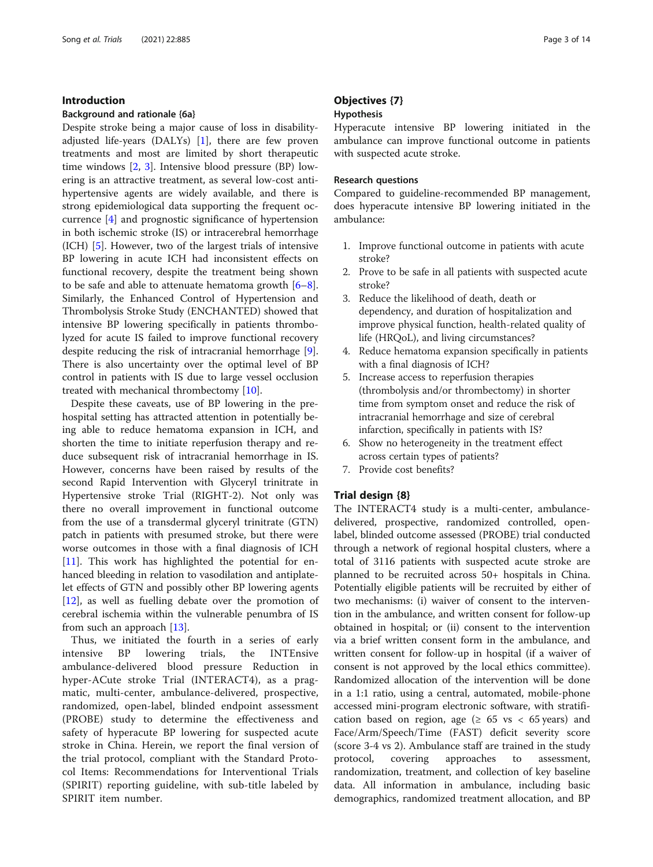# Introduction

# Background and rationale {6a}

Despite stroke being a major cause of loss in disabilityadjusted life-years (DALYs) [[1\]](#page-13-0), there are few proven treatments and most are limited by short therapeutic time windows [\[2](#page-13-0), [3\]](#page-13-0). Intensive blood pressure (BP) lowering is an attractive treatment, as several low-cost antihypertensive agents are widely available, and there is strong epidemiological data supporting the frequent occurrence [[4\]](#page-13-0) and prognostic significance of hypertension in both ischemic stroke (IS) or intracerebral hemorrhage (ICH) [\[5](#page-13-0)]. However, two of the largest trials of intensive BP lowering in acute ICH had inconsistent effects on functional recovery, despite the treatment being shown to be safe and able to attenuate hematoma growth [\[6](#page-13-0)–[8](#page-13-0)]. Similarly, the Enhanced Control of Hypertension and Thrombolysis Stroke Study (ENCHANTED) showed that intensive BP lowering specifically in patients thrombolyzed for acute IS failed to improve functional recovery despite reducing the risk of intracranial hemorrhage [\[9](#page-13-0)]. There is also uncertainty over the optimal level of BP control in patients with IS due to large vessel occlusion treated with mechanical thrombectomy [\[10](#page-13-0)].

Despite these caveats, use of BP lowering in the prehospital setting has attracted attention in potentially being able to reduce hematoma expansion in ICH, and shorten the time to initiate reperfusion therapy and reduce subsequent risk of intracranial hemorrhage in IS. However, concerns have been raised by results of the second Rapid Intervention with Glyceryl trinitrate in Hypertensive stroke Trial (RIGHT-2). Not only was there no overall improvement in functional outcome from the use of a transdermal glyceryl trinitrate (GTN) patch in patients with presumed stroke, but there were worse outcomes in those with a final diagnosis of ICH [[11\]](#page-13-0). This work has highlighted the potential for enhanced bleeding in relation to vasodilation and antiplatelet effects of GTN and possibly other BP lowering agents [[12\]](#page-13-0), as well as fuelling debate over the promotion of cerebral ischemia within the vulnerable penumbra of IS from such an approach [[13\]](#page-13-0).

Thus, we initiated the fourth in a series of early intensive BP lowering trials, the INTEnsive ambulance-delivered blood pressure Reduction in hyper-ACute stroke Trial (INTERACT4), as a pragmatic, multi-center, ambulance-delivered, prospective, randomized, open-label, blinded endpoint assessment (PROBE) study to determine the effectiveness and safety of hyperacute BP lowering for suspected acute stroke in China. Herein, we report the final version of the trial protocol, compliant with the Standard Protocol Items: Recommendations for Interventional Trials (SPIRIT) reporting guideline, with sub-title labeled by SPIRIT item number.

# Objectives {7} Hypothesis

Hyperacute intensive BP lowering initiated in the ambulance can improve functional outcome in patients with suspected acute stroke.

# Research questions

Compared to guideline-recommended BP management, does hyperacute intensive BP lowering initiated in the ambulance:

- 1. Improve functional outcome in patients with acute stroke?
- 2. Prove to be safe in all patients with suspected acute stroke?
- 3. Reduce the likelihood of death, death or dependency, and duration of hospitalization and improve physical function, health-related quality of life (HRQoL), and living circumstances?
- 4. Reduce hematoma expansion specifically in patients with a final diagnosis of ICH?
- 5. Increase access to reperfusion therapies (thrombolysis and/or thrombectomy) in shorter time from symptom onset and reduce the risk of intracranial hemorrhage and size of cerebral infarction, specifically in patients with IS?
- 6. Show no heterogeneity in the treatment effect across certain types of patients?
- 7. Provide cost benefits?

# Trial design {8}

The INTERACT4 study is a multi-center, ambulancedelivered, prospective, randomized controlled, openlabel, blinded outcome assessed (PROBE) trial conducted through a network of regional hospital clusters, where a total of 3116 patients with suspected acute stroke are planned to be recruited across 50+ hospitals in China. Potentially eligible patients will be recruited by either of two mechanisms: (i) waiver of consent to the intervention in the ambulance, and written consent for follow-up obtained in hospital; or (ii) consent to the intervention via a brief written consent form in the ambulance, and written consent for follow-up in hospital (if a waiver of consent is not approved by the local ethics committee). Randomized allocation of the intervention will be done in a 1:1 ratio, using a central, automated, mobile-phone accessed mini-program electronic software, with stratification based on region, age ( $\geq 65$  vs < 65 years) and Face/Arm/Speech/Time (FAST) deficit severity score (score 3-4 vs 2). Ambulance staff are trained in the study protocol, covering approaches to assessment, randomization, treatment, and collection of key baseline data. All information in ambulance, including basic demographics, randomized treatment allocation, and BP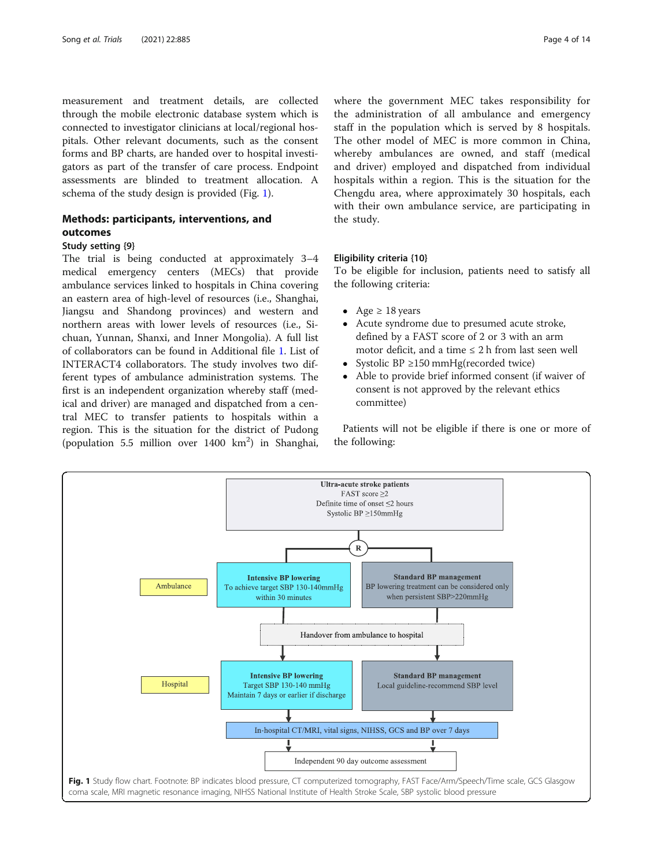measurement and treatment details, are collected through the mobile electronic database system which is connected to investigator clinicians at local/regional hospitals. Other relevant documents, such as the consent forms and BP charts, are handed over to hospital investigators as part of the transfer of care process. Endpoint assessments are blinded to treatment allocation. A schema of the study design is provided (Fig. 1).

# Methods: participants, interventions, and outcomes

# Study setting {9}

The trial is being conducted at approximately 3–4 medical emergency centers (MECs) that provide ambulance services linked to hospitals in China covering an eastern area of high-level of resources (i.e., Shanghai, Jiangsu and Shandong provinces) and western and northern areas with lower levels of resources (i.e., Sichuan, Yunnan, Shanxi, and Inner Mongolia). A full list of collaborators can be found in Additional file [1](#page-12-0). List of INTERACT4 collaborators. The study involves two different types of ambulance administration systems. The first is an independent organization whereby staff (medical and driver) are managed and dispatched from a central MEC to transfer patients to hospitals within a region. This is the situation for the district of Pudong (population 5.5 million over 1400 km<sup>2</sup>) in Shanghai,

where the government MEC takes responsibility for the administration of all ambulance and emergency staff in the population which is served by 8 hospitals. The other model of MEC is more common in China, whereby ambulances are owned, and staff (medical and driver) employed and dispatched from individual hospitals within a region. This is the situation for the Chengdu area, where approximately 30 hospitals, each with their own ambulance service, are participating in the study.

# Eligibility criteria {10}

To be eligible for inclusion, patients need to satisfy all the following criteria:

- Age  $\geq 18$  years
- Acute syndrome due to presumed acute stroke, defined by a FAST score of 2 or 3 with an arm motor deficit, and a time  $\leq 2$  h from last seen well
- Systolic BP ≥150 mmHg(recorded twice)
- Able to provide brief informed consent (if waiver of consent is not approved by the relevant ethics committee)

Patients will not be eligible if there is one or more of the following:

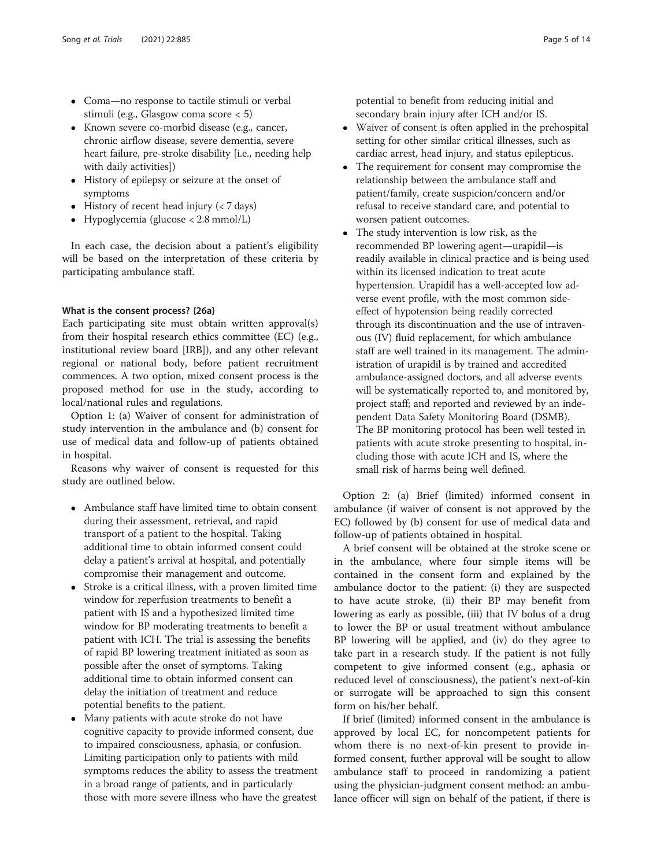- Coma—no response to tactile stimuli or verbal stimuli (e.g., Glasgow coma score < 5)
- Known severe co-morbid disease (e.g., cancer, chronic airflow disease, severe dementia, severe heart failure, pre-stroke disability [i.e., needing help with daily activities])
- History of epilepsy or seizure at the onset of symptoms
- $\bullet$  History of recent head injury (< 7 days)
- $\bullet$  Hypoglycemia (glucose < 2.8 mmol/L)

In each case, the decision about a patient's eligibility will be based on the interpretation of these criteria by participating ambulance staff.

# What is the consent process? {26a}

Each participating site must obtain written approval(s) from their hospital research ethics committee (EC) (e.g., institutional review board [IRB]), and any other relevant regional or national body, before patient recruitment commences. A two option, mixed consent process is the proposed method for use in the study, according to local/national rules and regulations.

Option 1: (a) Waiver of consent for administration of study intervention in the ambulance and (b) consent for use of medical data and follow-up of patients obtained in hospital.

Reasons why waiver of consent is requested for this study are outlined below.

- Ambulance staff have limited time to obtain consent during their assessment, retrieval, and rapid transport of a patient to the hospital. Taking additional time to obtain informed consent could delay a patient's arrival at hospital, and potentially compromise their management and outcome.
- Stroke is a critical illness, with a proven limited time window for reperfusion treatments to benefit a patient with IS and a hypothesized limited time window for BP moderating treatments to benefit a patient with ICH. The trial is assessing the benefits of rapid BP lowering treatment initiated as soon as possible after the onset of symptoms. Taking additional time to obtain informed consent can delay the initiation of treatment and reduce potential benefits to the patient.
- Many patients with acute stroke do not have cognitive capacity to provide informed consent, due to impaired consciousness, aphasia, or confusion. Limiting participation only to patients with mild symptoms reduces the ability to assess the treatment in a broad range of patients, and in particularly those with more severe illness who have the greatest

potential to benefit from reducing initial and secondary brain injury after ICH and/or IS.

- Waiver of consent is often applied in the prehospital setting for other similar critical illnesses, such as cardiac arrest, head injury, and status epilepticus.
- The requirement for consent may compromise the relationship between the ambulance staff and patient/family, create suspicion/concern and/or refusal to receive standard care, and potential to worsen patient outcomes.
- The study intervention is low risk, as the recommended BP lowering agent—urapidil—is readily available in clinical practice and is being used within its licensed indication to treat acute hypertension. Urapidil has a well-accepted low adverse event profile, with the most common sideeffect of hypotension being readily corrected through its discontinuation and the use of intravenous (IV) fluid replacement, for which ambulance staff are well trained in its management. The administration of urapidil is by trained and accredited ambulance-assigned doctors, and all adverse events will be systematically reported to, and monitored by, project staff; and reported and reviewed by an independent Data Safety Monitoring Board (DSMB). The BP monitoring protocol has been well tested in patients with acute stroke presenting to hospital, including those with acute ICH and IS, where the small risk of harms being well defined.

Option 2: (a) Brief (limited) informed consent in ambulance (if waiver of consent is not approved by the EC) followed by (b) consent for use of medical data and follow-up of patients obtained in hospital.

A brief consent will be obtained at the stroke scene or in the ambulance, where four simple items will be contained in the consent form and explained by the ambulance doctor to the patient: (i) they are suspected to have acute stroke, (ii) their BP may benefit from lowering as early as possible, (iii) that IV bolus of a drug to lower the BP or usual treatment without ambulance BP lowering will be applied, and (iv) do they agree to take part in a research study. If the patient is not fully competent to give informed consent (e.g., aphasia or reduced level of consciousness), the patient's next-of-kin or surrogate will be approached to sign this consent form on his/her behalf.

If brief (limited) informed consent in the ambulance is approved by local EC, for noncompetent patients for whom there is no next-of-kin present to provide informed consent, further approval will be sought to allow ambulance staff to proceed in randomizing a patient using the physician-judgment consent method: an ambulance officer will sign on behalf of the patient, if there is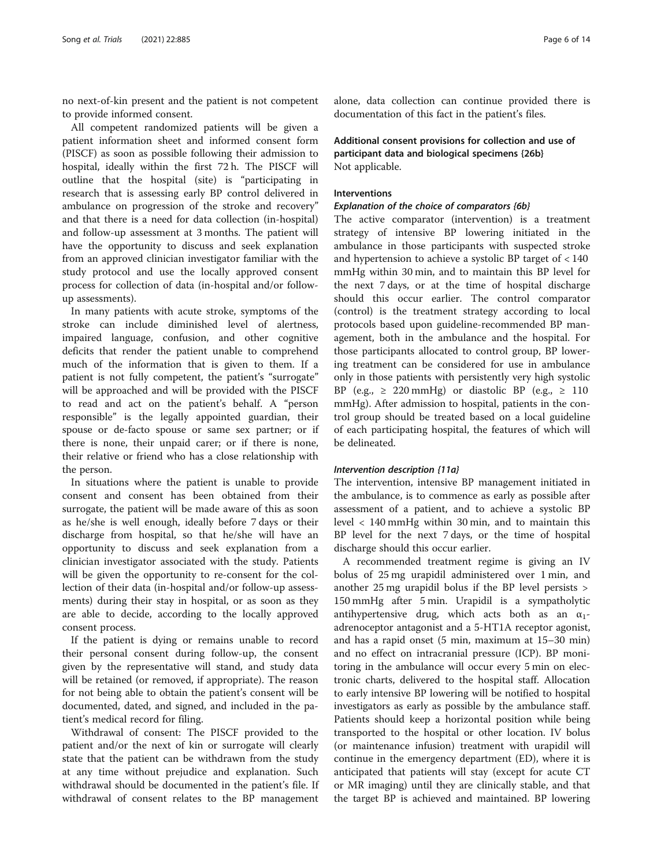no next-of-kin present and the patient is not competent to provide informed consent.

All competent randomized patients will be given a patient information sheet and informed consent form (PISCF) as soon as possible following their admission to hospital, ideally within the first 72 h. The PISCF will outline that the hospital (site) is "participating in research that is assessing early BP control delivered in ambulance on progression of the stroke and recovery" and that there is a need for data collection (in-hospital) and follow-up assessment at 3 months. The patient will have the opportunity to discuss and seek explanation from an approved clinician investigator familiar with the study protocol and use the locally approved consent process for collection of data (in-hospital and/or followup assessments).

In many patients with acute stroke, symptoms of the stroke can include diminished level of alertness, impaired language, confusion, and other cognitive deficits that render the patient unable to comprehend much of the information that is given to them. If a patient is not fully competent, the patient's "surrogate" will be approached and will be provided with the PISCF to read and act on the patient's behalf. A "person responsible" is the legally appointed guardian, their spouse or de-facto spouse or same sex partner; or if there is none, their unpaid carer; or if there is none, their relative or friend who has a close relationship with the person.

In situations where the patient is unable to provide consent and consent has been obtained from their surrogate, the patient will be made aware of this as soon as he/she is well enough, ideally before 7 days or their discharge from hospital, so that he/she will have an opportunity to discuss and seek explanation from a clinician investigator associated with the study. Patients will be given the opportunity to re-consent for the collection of their data (in-hospital and/or follow-up assessments) during their stay in hospital, or as soon as they are able to decide, according to the locally approved consent process.

If the patient is dying or remains unable to record their personal consent during follow-up, the consent given by the representative will stand, and study data will be retained (or removed, if appropriate). The reason for not being able to obtain the patient's consent will be documented, dated, and signed, and included in the patient's medical record for filing.

Withdrawal of consent: The PISCF provided to the patient and/or the next of kin or surrogate will clearly state that the patient can be withdrawn from the study at any time without prejudice and explanation. Such withdrawal should be documented in the patient's file. If withdrawal of consent relates to the BP management

alone, data collection can continue provided there is documentation of this fact in the patient's files.

Additional consent provisions for collection and use of participant data and biological specimens {26b} Not applicable.

# Interventions

# Explanation of the choice of comparators {6b}

The active comparator (intervention) is a treatment strategy of intensive BP lowering initiated in the ambulance in those participants with suspected stroke and hypertension to achieve a systolic BP target of < 140 mmHg within 30 min, and to maintain this BP level for the next 7 days, or at the time of hospital discharge should this occur earlier. The control comparator (control) is the treatment strategy according to local protocols based upon guideline-recommended BP management, both in the ambulance and the hospital. For those participants allocated to control group, BP lowering treatment can be considered for use in ambulance only in those patients with persistently very high systolic BP (e.g.,  $\geq$  220 mmHg) or diastolic BP (e.g.,  $\geq$  110 mmHg). After admission to hospital, patients in the control group should be treated based on a local guideline of each participating hospital, the features of which will be delineated.

# Intervention description {11a}

The intervention, intensive BP management initiated in the ambulance, is to commence as early as possible after assessment of a patient, and to achieve a systolic BP level < 140 mmHg within 30 min, and to maintain this BP level for the next 7 days, or the time of hospital discharge should this occur earlier.

A recommended treatment regime is giving an IV bolus of 25 mg urapidil administered over 1 min, and another 25 mg urapidil bolus if the BP level persists > 150 mmHg after 5 min. Urapidil is a sympatholytic antihypertensive drug, which acts both as an  $\alpha_1$ adrenoceptor antagonist and a 5-HT1A receptor agonist, and has a rapid onset (5 min, maximum at 15–30 min) and no effect on intracranial pressure (ICP). BP monitoring in the ambulance will occur every 5 min on electronic charts, delivered to the hospital staff. Allocation to early intensive BP lowering will be notified to hospital investigators as early as possible by the ambulance staff. Patients should keep a horizontal position while being transported to the hospital or other location. IV bolus (or maintenance infusion) treatment with urapidil will continue in the emergency department (ED), where it is anticipated that patients will stay (except for acute CT or MR imaging) until they are clinically stable, and that the target BP is achieved and maintained. BP lowering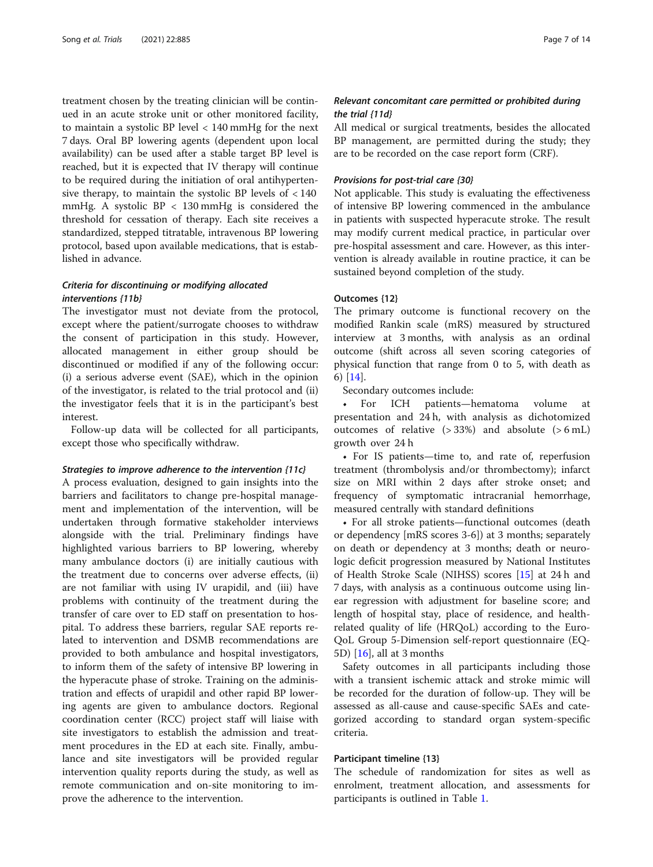treatment chosen by the treating clinician will be continued in an acute stroke unit or other monitored facility, to maintain a systolic BP level < 140 mmHg for the next 7 days. Oral BP lowering agents (dependent upon local availability) can be used after a stable target BP level is reached, but it is expected that IV therapy will continue to be required during the initiation of oral antihypertensive therapy, to maintain the systolic BP levels of  $< 140$ mmHg. A systolic BP < 130 mmHg is considered the threshold for cessation of therapy. Each site receives a standardized, stepped titratable, intravenous BP lowering protocol, based upon available medications, that is established in advance.

# Criteria for discontinuing or modifying allocated interventions {11b}

The investigator must not deviate from the protocol, except where the patient/surrogate chooses to withdraw the consent of participation in this study. However, allocated management in either group should be discontinued or modified if any of the following occur: (i) a serious adverse event (SAE), which in the opinion of the investigator, is related to the trial protocol and (ii) the investigator feels that it is in the participant's best interest.

Follow-up data will be collected for all participants, except those who specifically withdraw.

#### Strategies to improve adherence to the intervention {11c}

A process evaluation, designed to gain insights into the barriers and facilitators to change pre-hospital management and implementation of the intervention, will be undertaken through formative stakeholder interviews alongside with the trial. Preliminary findings have highlighted various barriers to BP lowering, whereby many ambulance doctors (i) are initially cautious with the treatment due to concerns over adverse effects, (ii) are not familiar with using IV urapidil, and (iii) have problems with continuity of the treatment during the transfer of care over to ED staff on presentation to hospital. To address these barriers, regular SAE reports related to intervention and DSMB recommendations are provided to both ambulance and hospital investigators, to inform them of the safety of intensive BP lowering in the hyperacute phase of stroke. Training on the administration and effects of urapidil and other rapid BP lowering agents are given to ambulance doctors. Regional coordination center (RCC) project staff will liaise with site investigators to establish the admission and treatment procedures in the ED at each site. Finally, ambulance and site investigators will be provided regular intervention quality reports during the study, as well as remote communication and on-site monitoring to improve the adherence to the intervention.

# Relevant concomitant care permitted or prohibited during the trial {11d}

All medical or surgical treatments, besides the allocated BP management, are permitted during the study; they are to be recorded on the case report form (CRF).

# Provisions for post-trial care {30}

Not applicable. This study is evaluating the effectiveness of intensive BP lowering commenced in the ambulance in patients with suspected hyperacute stroke. The result may modify current medical practice, in particular over pre-hospital assessment and care. However, as this intervention is already available in routine practice, it can be sustained beyond completion of the study.

# Outcomes {12}

The primary outcome is functional recovery on the modified Rankin scale (mRS) measured by structured interview at 3 months, with analysis as an ordinal outcome (shift across all seven scoring categories of physical function that range from 0 to 5, with death as 6) [[14\]](#page-13-0).

Secondary outcomes include:

For ICH patients—hematoma volume at presentation and 24 h, with analysis as dichotomized outcomes of relative (> 33%) and absolute (> 6 mL) growth over 24 h

• For IS patients—time to, and rate of, reperfusion treatment (thrombolysis and/or thrombectomy); infarct size on MRI within 2 days after stroke onset; and frequency of symptomatic intracranial hemorrhage, measured centrally with standard definitions

• For all stroke patients—functional outcomes (death or dependency [mRS scores 3-6]) at 3 months; separately on death or dependency at 3 months; death or neurologic deficit progression measured by National Institutes of Health Stroke Scale (NIHSS) scores [[15\]](#page-13-0) at 24 h and 7 days, with analysis as a continuous outcome using linear regression with adjustment for baseline score; and length of hospital stay, place of residence, and healthrelated quality of life (HRQoL) according to the Euro-QoL Group 5-Dimension self-report questionnaire (EQ-5D) [\[16\]](#page-13-0), all at 3 months

Safety outcomes in all participants including those with a transient ischemic attack and stroke mimic will be recorded for the duration of follow-up. They will be assessed as all-cause and cause-specific SAEs and categorized according to standard organ system-specific criteria.

# Participant timeline {13}

The schedule of randomization for sites as well as enrolment, treatment allocation, and assessments for participants is outlined in Table [1](#page-7-0).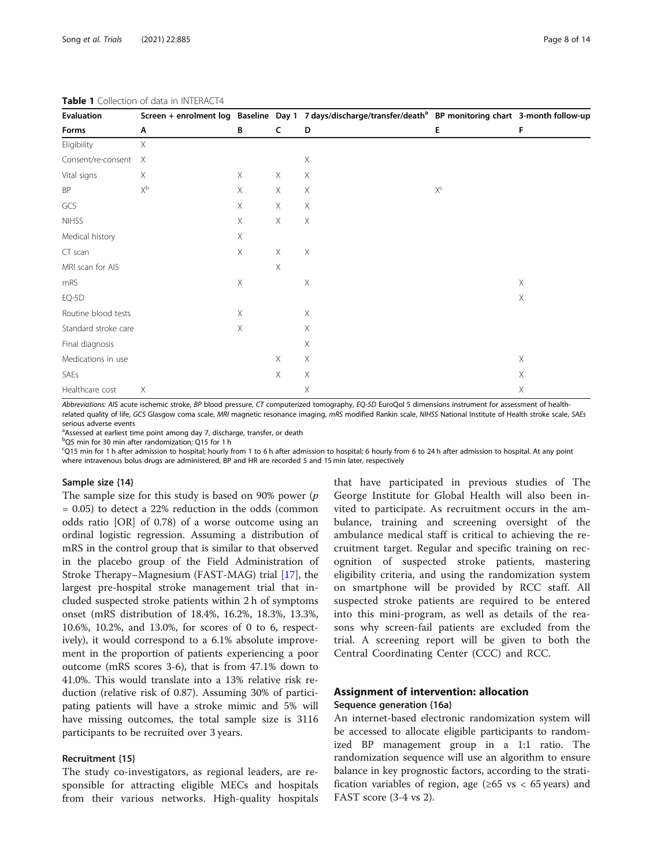| Evaluation<br>Forms  | Α                         | B           | $\mathsf{C}$              | Screen + enrolment log Baseline Day 1 7 days/discharge/transfer/death <sup>a</sup> BP monitoring chart 3-month follow-up<br>D | Е     | F           |
|----------------------|---------------------------|-------------|---------------------------|-------------------------------------------------------------------------------------------------------------------------------|-------|-------------|
|                      |                           |             |                           |                                                                                                                               |       |             |
| Consent/re-consent   | $\times$                  |             |                           | $\mathsf X$                                                                                                                   |       |             |
| Vital signs          | Χ                         | X           | Χ                         | Χ                                                                                                                             |       |             |
| BP                   | $\mathsf{X}^{\mathsf{b}}$ | $\mathsf X$ | X                         | $\times$                                                                                                                      | $X^c$ |             |
| GCS                  |                           | $\times$    | X                         | $\times$                                                                                                                      |       |             |
| <b>NIHSS</b>         |                           | $\times$    | $\times$                  | $\mathsf X$                                                                                                                   |       |             |
| Medical history      |                           | $\times$    |                           |                                                                                                                               |       |             |
| CT scan              |                           | $\times$    | $\times$                  | $\mathsf X$                                                                                                                   |       |             |
| MRI scan for AIS     |                           |             | $\boldsymbol{\mathsf{X}}$ |                                                                                                                               |       |             |
| mRS                  |                           | $\mathsf X$ |                           | $\mathsf X$                                                                                                                   |       | $\times$    |
| EQ-5D                |                           |             |                           |                                                                                                                               |       | $\times$    |
| Routine blood tests  |                           | $\times$    |                           | $\times$                                                                                                                      |       |             |
| Standard stroke care |                           | $\times$    |                           | $\times$                                                                                                                      |       |             |
| Final diagnosis      |                           |             |                           | $\times$                                                                                                                      |       |             |
| Medications in use   |                           |             | $\times$                  | $\mathsf X$                                                                                                                   |       | $\times$    |
| SAEs                 |                           |             | X                         | $\mathsf X$                                                                                                                   |       | $\times$    |
| Healthcare cost      | $\times$                  |             |                           | X                                                                                                                             |       | $\mathsf X$ |

#### <span id="page-7-0"></span>Table 1 Collection of data in INTERACT4

Abbreviations: AIS acute ischemic stroke, BP blood pressure, CT computerized tomography, EQ-5D EuroQol 5 dimensions instrument for assessment of healthrelated quality of life, GCS Glasgow coma scale, MRI magnetic resonance imaging, mRS modified Rankin scale, NIHSS National Institute of Health stroke scale, SAEs serious adverse events

<sup>a</sup>Assessed at earliest time point among day 7, discharge, transfer, or death

b Q5 min for 30 min after randomization; Q15 for 1 h

c Q15 min for 1 h after admission to hospital; hourly from 1 to 6 h after admission to hospital; 6 hourly from 6 to 24 h after admission to hospital. At any point where intravenous bolus drugs are administered, BP and HR are recorded 5 and 15 min later, respectively

#### Sample size {14}

The sample size for this study is based on 90% power  $(p)$ = 0.05) to detect a 22% reduction in the odds (common odds ratio [OR] of 0.78) of a worse outcome using an ordinal logistic regression. Assuming a distribution of mRS in the control group that is similar to that observed in the placebo group of the Field Administration of Stroke Therapy–Magnesium (FAST-MAG) trial [\[17](#page-13-0)], the largest pre-hospital stroke management trial that included suspected stroke patients within 2 h of symptoms onset (mRS distribution of 18.4%, 16.2%, 18.3%, 13.3%, 10.6%, 10.2%, and 13.0%, for scores of 0 to 6, respectively), it would correspond to a 6.1% absolute improvement in the proportion of patients experiencing a poor outcome (mRS scores 3-6), that is from 47.1% down to 41.0%. This would translate into a 13% relative risk reduction (relative risk of 0.87). Assuming 30% of participating patients will have a stroke mimic and 5% will have missing outcomes, the total sample size is 3116 participants to be recruited over 3 years.

# Recruitment {15}

The study co-investigators, as regional leaders, are responsible for attracting eligible MECs and hospitals from their various networks. High-quality hospitals

that have participated in previous studies of The George Institute for Global Health will also been invited to participate. As recruitment occurs in the ambulance, training and screening oversight of the ambulance medical staff is critical to achieving the recruitment target. Regular and specific training on recognition of suspected stroke patients, mastering eligibility criteria, and using the randomization system on smartphone will be provided by RCC staff. All suspected stroke patients are required to be entered into this mini-program, as well as details of the reasons why screen-fail patients are excluded from the trial. A screening report will be given to both the Central Coordinating Center (CCC) and RCC.

# Assignment of intervention: allocation Sequence generation {16a}

An internet-based electronic randomization system will be accessed to allocate eligible participants to randomized BP management group in a 1:1 ratio. The randomization sequence will use an algorithm to ensure balance in key prognostic factors, according to the stratification variables of region, age ( $\geq 65$  vs < 65 years) and FAST score (3-4 vs 2).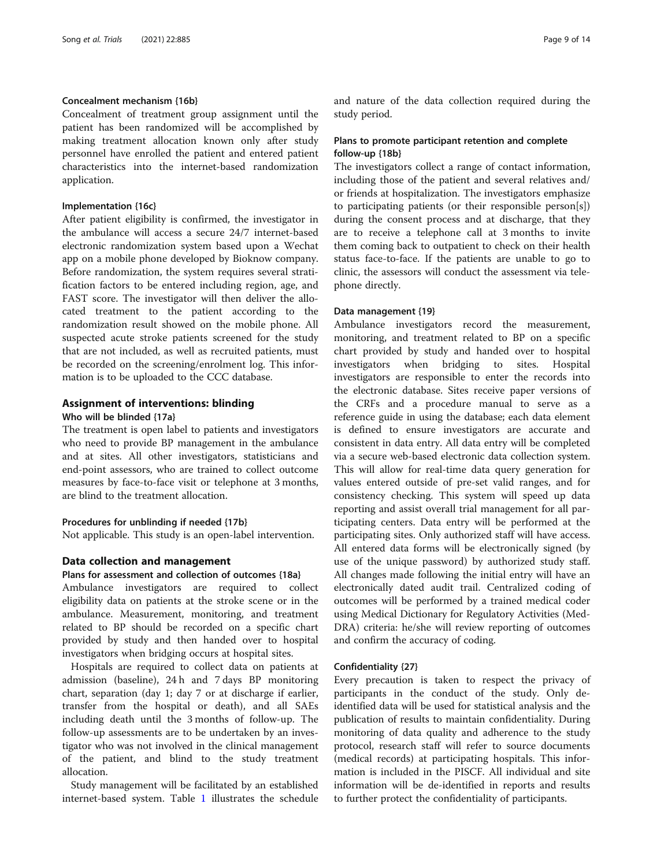# Concealment mechanism {16b}

Concealment of treatment group assignment until the patient has been randomized will be accomplished by making treatment allocation known only after study personnel have enrolled the patient and entered patient characteristics into the internet-based randomization application.

# Implementation {16c}

After patient eligibility is confirmed, the investigator in the ambulance will access a secure 24/7 internet-based electronic randomization system based upon a Wechat app on a mobile phone developed by Bioknow company. Before randomization, the system requires several stratification factors to be entered including region, age, and FAST score. The investigator will then deliver the allocated treatment to the patient according to the randomization result showed on the mobile phone. All suspected acute stroke patients screened for the study that are not included, as well as recruited patients, must be recorded on the screening/enrolment log. This information is to be uploaded to the CCC database.

# Assignment of interventions: blinding

#### Who will be blinded {17a}

The treatment is open label to patients and investigators who need to provide BP management in the ambulance and at sites. All other investigators, statisticians and end-point assessors, who are trained to collect outcome measures by face-to-face visit or telephone at 3 months, are blind to the treatment allocation.

#### Procedures for unblinding if needed {17b}

Not applicable. This study is an open-label intervention.

# Data collection and management

Plans for assessment and collection of outcomes {18a} Ambulance investigators are required to collect eligibility data on patients at the stroke scene or in the ambulance. Measurement, monitoring, and treatment related to BP should be recorded on a specific chart provided by study and then handed over to hospital investigators when bridging occurs at hospital sites.

Hospitals are required to collect data on patients at admission (baseline), 24 h and 7 days BP monitoring chart, separation (day 1; day 7 or at discharge if earlier, transfer from the hospital or death), and all SAEs including death until the 3 months of follow-up. The follow-up assessments are to be undertaken by an investigator who was not involved in the clinical management of the patient, and blind to the study treatment allocation.

Study management will be facilitated by an established internet-based system. Table [1](#page-7-0) illustrates the schedule and nature of the data collection required during the study period.

# Plans to promote participant retention and complete follow-up {18b}

The investigators collect a range of contact information, including those of the patient and several relatives and/ or friends at hospitalization. The investigators emphasize to participating patients (or their responsible person[s]) during the consent process and at discharge, that they are to receive a telephone call at 3 months to invite them coming back to outpatient to check on their health status face-to-face. If the patients are unable to go to clinic, the assessors will conduct the assessment via telephone directly.

#### Data management {19}

Ambulance investigators record the measurement, monitoring, and treatment related to BP on a specific chart provided by study and handed over to hospital investigators when bridging to sites. Hospital investigators are responsible to enter the records into the electronic database. Sites receive paper versions of the CRFs and a procedure manual to serve as a reference guide in using the database; each data element is defined to ensure investigators are accurate and consistent in data entry. All data entry will be completed via a secure web-based electronic data collection system. This will allow for real-time data query generation for values entered outside of pre-set valid ranges, and for consistency checking. This system will speed up data reporting and assist overall trial management for all participating centers. Data entry will be performed at the participating sites. Only authorized staff will have access. All entered data forms will be electronically signed (by use of the unique password) by authorized study staff. All changes made following the initial entry will have an electronically dated audit trail. Centralized coding of outcomes will be performed by a trained medical coder using Medical Dictionary for Regulatory Activities (Med-DRA) criteria: he/she will review reporting of outcomes and confirm the accuracy of coding.

#### Confidentiality {27}

Every precaution is taken to respect the privacy of participants in the conduct of the study. Only deidentified data will be used for statistical analysis and the publication of results to maintain confidentiality. During monitoring of data quality and adherence to the study protocol, research staff will refer to source documents (medical records) at participating hospitals. This information is included in the PISCF. All individual and site information will be de-identified in reports and results to further protect the confidentiality of participants.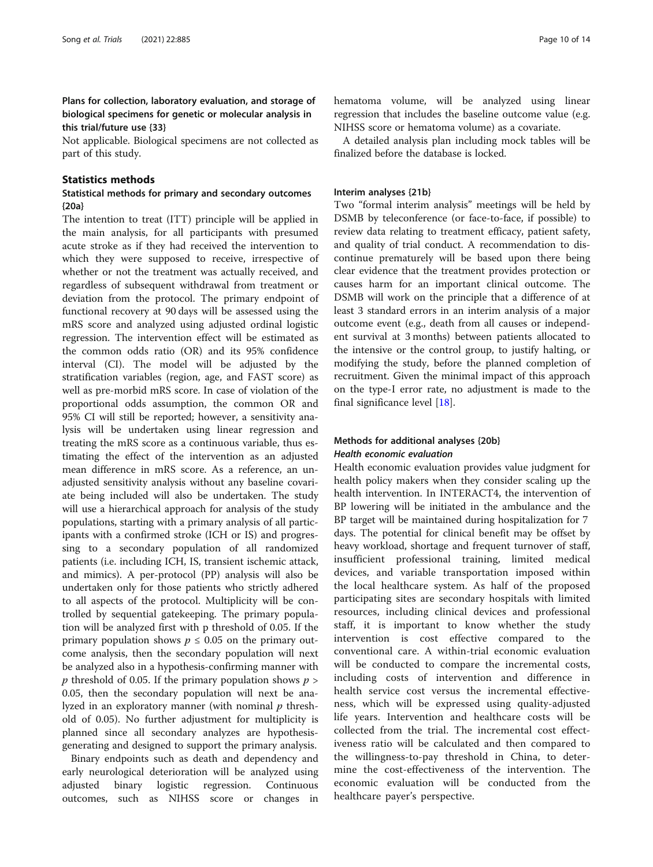# Plans for collection, laboratory evaluation, and storage of biological specimens for genetic or molecular analysis in this trial/future use {33}

Not applicable. Biological specimens are not collected as part of this study.

# Statistics methods

# Statistical methods for primary and secondary outcomes {20a}

The intention to treat (ITT) principle will be applied in the main analysis, for all participants with presumed acute stroke as if they had received the intervention to which they were supposed to receive, irrespective of whether or not the treatment was actually received, and regardless of subsequent withdrawal from treatment or deviation from the protocol. The primary endpoint of functional recovery at 90 days will be assessed using the mRS score and analyzed using adjusted ordinal logistic regression. The intervention effect will be estimated as the common odds ratio (OR) and its 95% confidence interval (CI). The model will be adjusted by the stratification variables (region, age, and FAST score) as well as pre-morbid mRS score. In case of violation of the proportional odds assumption, the common OR and 95% CI will still be reported; however, a sensitivity analysis will be undertaken using linear regression and treating the mRS score as a continuous variable, thus estimating the effect of the intervention as an adjusted mean difference in mRS score. As a reference, an unadjusted sensitivity analysis without any baseline covariate being included will also be undertaken. The study will use a hierarchical approach for analysis of the study populations, starting with a primary analysis of all participants with a confirmed stroke (ICH or IS) and progressing to a secondary population of all randomized patients (i.e. including ICH, IS, transient ischemic attack, and mimics). A per-protocol (PP) analysis will also be undertaken only for those patients who strictly adhered to all aspects of the protocol. Multiplicity will be controlled by sequential gatekeeping. The primary population will be analyzed first with p threshold of 0.05. If the primary population shows  $p \leq 0.05$  on the primary outcome analysis, then the secondary population will next be analyzed also in a hypothesis-confirming manner with p threshold of 0.05. If the primary population shows  $p >$ 0.05, then the secondary population will next be analyzed in an exploratory manner (with nominal  $p$  threshold of 0.05). No further adjustment for multiplicity is planned since all secondary analyzes are hypothesisgenerating and designed to support the primary analysis.

Binary endpoints such as death and dependency and early neurological deterioration will be analyzed using adjusted binary logistic regression. Continuous outcomes, such as NIHSS score or changes in hematoma volume, will be analyzed using linear regression that includes the baseline outcome value (e.g. NIHSS score or hematoma volume) as a covariate.

A detailed analysis plan including mock tables will be finalized before the database is locked.

# Interim analyses {21b}

Two "formal interim analysis" meetings will be held by DSMB by teleconference (or face-to-face, if possible) to review data relating to treatment efficacy, patient safety, and quality of trial conduct. A recommendation to discontinue prematurely will be based upon there being clear evidence that the treatment provides protection or causes harm for an important clinical outcome. The DSMB will work on the principle that a difference of at least 3 standard errors in an interim analysis of a major outcome event (e.g., death from all causes or independent survival at 3 months) between patients allocated to the intensive or the control group, to justify halting, or modifying the study, before the planned completion of recruitment. Given the minimal impact of this approach on the type-I error rate, no adjustment is made to the final significance level [\[18](#page-13-0)].

# Methods for additional analyses {20b} Health economic evaluation

Health economic evaluation provides value judgment for health policy makers when they consider scaling up the health intervention. In INTERACT4, the intervention of BP lowering will be initiated in the ambulance and the BP target will be maintained during hospitalization for 7 days. The potential for clinical benefit may be offset by heavy workload, shortage and frequent turnover of staff, insufficient professional training, limited medical devices, and variable transportation imposed within the local healthcare system. As half of the proposed participating sites are secondary hospitals with limited resources, including clinical devices and professional staff, it is important to know whether the study intervention is cost effective compared to the conventional care. A within-trial economic evaluation will be conducted to compare the incremental costs, including costs of intervention and difference in health service cost versus the incremental effectiveness, which will be expressed using quality-adjusted life years. Intervention and healthcare costs will be collected from the trial. The incremental cost effectiveness ratio will be calculated and then compared to the willingness-to-pay threshold in China, to determine the cost-effectiveness of the intervention. The economic evaluation will be conducted from the healthcare payer's perspective.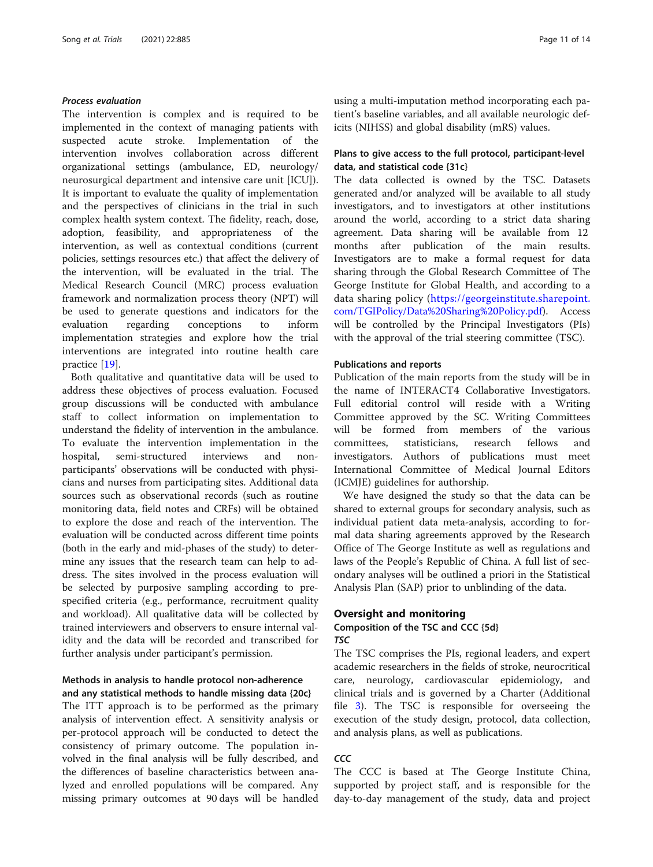# Process evaluation

The intervention is complex and is required to be implemented in the context of managing patients with suspected acute stroke. Implementation of the intervention involves collaboration across different organizational settings (ambulance, ED, neurology/ neurosurgical department and intensive care unit [ICU]). It is important to evaluate the quality of implementation and the perspectives of clinicians in the trial in such complex health system context. The fidelity, reach, dose, adoption, feasibility, and appropriateness of the intervention, as well as contextual conditions (current policies, settings resources etc.) that affect the delivery of the intervention, will be evaluated in the trial. The Medical Research Council (MRC) process evaluation framework and normalization process theory (NPT) will be used to generate questions and indicators for the evaluation regarding conceptions to inform implementation strategies and explore how the trial interventions are integrated into routine health care practice [[19\]](#page-13-0).

Both qualitative and quantitative data will be used to address these objectives of process evaluation. Focused group discussions will be conducted with ambulance staff to collect information on implementation to understand the fidelity of intervention in the ambulance. To evaluate the intervention implementation in the hospital, semi-structured interviews and nonparticipants' observations will be conducted with physicians and nurses from participating sites. Additional data sources such as observational records (such as routine monitoring data, field notes and CRFs) will be obtained to explore the dose and reach of the intervention. The evaluation will be conducted across different time points (both in the early and mid-phases of the study) to determine any issues that the research team can help to address. The sites involved in the process evaluation will be selected by purposive sampling according to prespecified criteria (e.g., performance, recruitment quality and workload). All qualitative data will be collected by trained interviewers and observers to ensure internal validity and the data will be recorded and transcribed for further analysis under participant's permission.

# Methods in analysis to handle protocol non-adherence and any statistical methods to handle missing data {20c}

The ITT approach is to be performed as the primary analysis of intervention effect. A sensitivity analysis or per-protocol approach will be conducted to detect the consistency of primary outcome. The population involved in the final analysis will be fully described, and the differences of baseline characteristics between analyzed and enrolled populations will be compared. Any missing primary outcomes at 90 days will be handled

using a multi-imputation method incorporating each patient's baseline variables, and all available neurologic deficits (NIHSS) and global disability (mRS) values.

# Plans to give access to the full protocol, participant-level data, and statistical code {31c}

The data collected is owned by the TSC. Datasets generated and/or analyzed will be available to all study investigators, and to investigators at other institutions around the world, according to a strict data sharing agreement. Data sharing will be available from 12 months after publication of the main results. Investigators are to make a formal request for data sharing through the Global Research Committee of The George Institute for Global Health, and according to a data sharing policy ([https://georgeinstitute.sharepoint.](https://georgeinstitute.sharepoint.com/TGIPolicy/Data%20Sharing%20Policy.pdf) [com/TGIPolicy/Data%20Sharing%20Policy.pdf\)](https://georgeinstitute.sharepoint.com/TGIPolicy/Data%20Sharing%20Policy.pdf). Access will be controlled by the Principal Investigators (PIs) with the approval of the trial steering committee (TSC).

#### Publications and reports

Publication of the main reports from the study will be in the name of INTERACT4 Collaborative Investigators. Full editorial control will reside with a Writing Committee approved by the SC. Writing Committees will be formed from members of the various committees, statisticians, research fellows and investigators. Authors of publications must meet International Committee of Medical Journal Editors (ICMJE) guidelines for authorship.

We have designed the study so that the data can be shared to external groups for secondary analysis, such as individual patient data meta-analysis, according to formal data sharing agreements approved by the Research Office of The George Institute as well as regulations and laws of the People's Republic of China. A full list of secondary analyses will be outlined a priori in the Statistical Analysis Plan (SAP) prior to unblinding of the data.

# Oversight and monitoring

# Composition of the TSC and CCC {5d} TSC

The TSC comprises the PIs, regional leaders, and expert academic researchers in the fields of stroke, neurocritical care, neurology, cardiovascular epidemiology, and clinical trials and is governed by a Charter (Additional file [3](#page-12-0)). The TSC is responsible for overseeing the execution of the study design, protocol, data collection, and analysis plans, as well as publications.

# **CCC**

The CCC is based at The George Institute China, supported by project staff, and is responsible for the day-to-day management of the study, data and project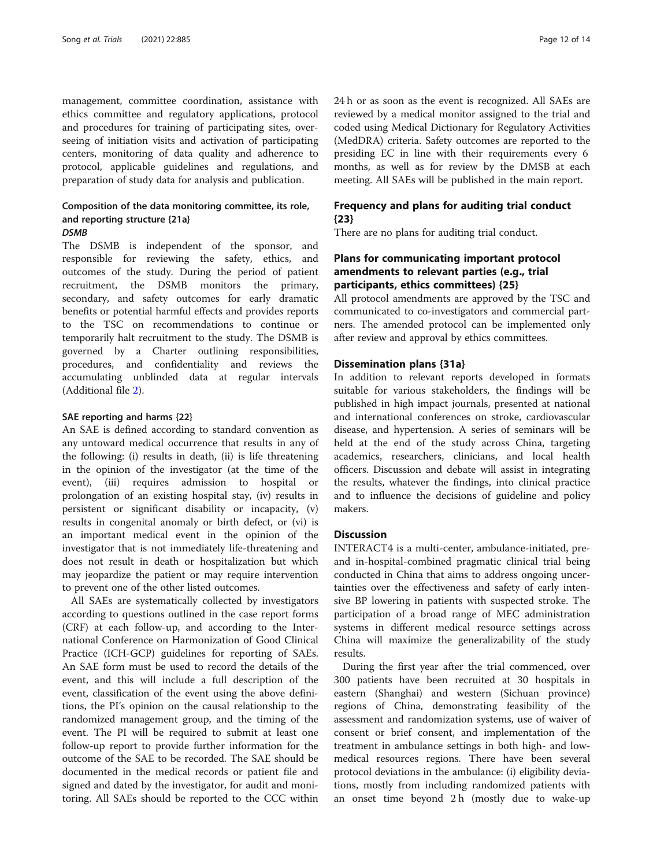management, committee coordination, assistance with ethics committee and regulatory applications, protocol and procedures for training of participating sites, overseeing of initiation visits and activation of participating centers, monitoring of data quality and adherence to protocol, applicable guidelines and regulations, and preparation of study data for analysis and publication.

# Composition of the data monitoring committee, its role, and reporting structure {21a} **DSMB**

The DSMB is independent of the sponsor, and responsible for reviewing the safety, ethics, and outcomes of the study. During the period of patient recruitment, the DSMB monitors the primary, secondary, and safety outcomes for early dramatic benefits or potential harmful effects and provides reports to the TSC on recommendations to continue or temporarily halt recruitment to the study. The DSMB is governed by a Charter outlining responsibilities, procedures, and confidentiality and reviews the accumulating unblinded data at regular intervals (Additional file [2](#page-12-0)).

#### SAE reporting and harms {22}

An SAE is defined according to standard convention as any untoward medical occurrence that results in any of the following: (i) results in death, (ii) is life threatening in the opinion of the investigator (at the time of the event), (iii) requires admission to hospital or prolongation of an existing hospital stay, (iv) results in persistent or significant disability or incapacity, (v) results in congenital anomaly or birth defect, or (vi) is an important medical event in the opinion of the investigator that is not immediately life-threatening and does not result in death or hospitalization but which may jeopardize the patient or may require intervention to prevent one of the other listed outcomes.

All SAEs are systematically collected by investigators according to questions outlined in the case report forms (CRF) at each follow-up, and according to the International Conference on Harmonization of Good Clinical Practice (ICH-GCP) guidelines for reporting of SAEs. An SAE form must be used to record the details of the event, and this will include a full description of the event, classification of the event using the above definitions, the PI's opinion on the causal relationship to the randomized management group, and the timing of the event. The PI will be required to submit at least one follow-up report to provide further information for the outcome of the SAE to be recorded. The SAE should be documented in the medical records or patient file and signed and dated by the investigator, for audit and monitoring. All SAEs should be reported to the CCC within 24 h or as soon as the event is recognized. All SAEs are reviewed by a medical monitor assigned to the trial and coded using Medical Dictionary for Regulatory Activities (MedDRA) criteria. Safety outcomes are reported to the presiding EC in line with their requirements every 6 months, as well as for review by the DMSB at each meeting. All SAEs will be published in the main report.

# Frequency and plans for auditing trial conduct {23}

There are no plans for auditing trial conduct.

# Plans for communicating important protocol amendments to relevant parties (e.g., trial participants, ethics committees) {25}

All protocol amendments are approved by the TSC and communicated to co-investigators and commercial partners. The amended protocol can be implemented only after review and approval by ethics committees.

# Dissemination plans {31a}

In addition to relevant reports developed in formats suitable for various stakeholders, the findings will be published in high impact journals, presented at national and international conferences on stroke, cardiovascular disease, and hypertension. A series of seminars will be held at the end of the study across China, targeting academics, researchers, clinicians, and local health officers. Discussion and debate will assist in integrating the results, whatever the findings, into clinical practice and to influence the decisions of guideline and policy makers.

# **Discussion**

INTERACT4 is a multi-center, ambulance-initiated, preand in-hospital-combined pragmatic clinical trial being conducted in China that aims to address ongoing uncertainties over the effectiveness and safety of early intensive BP lowering in patients with suspected stroke. The participation of a broad range of MEC administration systems in different medical resource settings across China will maximize the generalizability of the study results.

During the first year after the trial commenced, over 300 patients have been recruited at 30 hospitals in eastern (Shanghai) and western (Sichuan province) regions of China, demonstrating feasibility of the assessment and randomization systems, use of waiver of consent or brief consent, and implementation of the treatment in ambulance settings in both high- and lowmedical resources regions. There have been several protocol deviations in the ambulance: (i) eligibility deviations, mostly from including randomized patients with an onset time beyond 2 h (mostly due to wake-up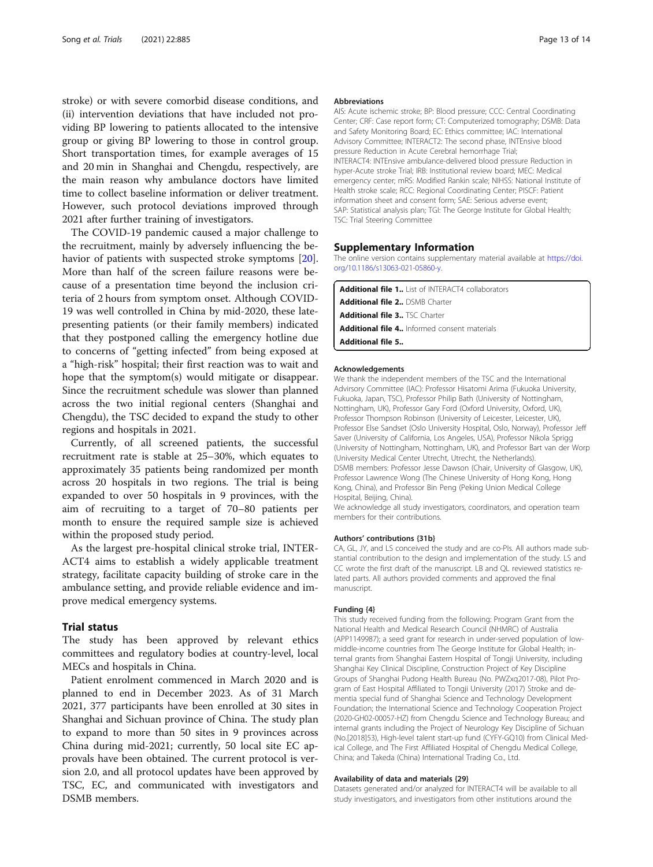<span id="page-12-0"></span>stroke) or with severe comorbid disease conditions, and (ii) intervention deviations that have included not providing BP lowering to patients allocated to the intensive group or giving BP lowering to those in control group. Short transportation times, for example averages of 15 and 20 min in Shanghai and Chengdu, respectively, are the main reason why ambulance doctors have limited time to collect baseline information or deliver treatment. However, such protocol deviations improved through 2021 after further training of investigators.

The COVID-19 pandemic caused a major challenge to the recruitment, mainly by adversely influencing the behavior of patients with suspected stroke symptoms [\[20](#page-13-0)]. More than half of the screen failure reasons were because of a presentation time beyond the inclusion criteria of 2 hours from symptom onset. Although COVID-19 was well controlled in China by mid-2020, these latepresenting patients (or their family members) indicated that they postponed calling the emergency hotline due to concerns of "getting infected" from being exposed at a "high-risk" hospital; their first reaction was to wait and hope that the symptom(s) would mitigate or disappear. Since the recruitment schedule was slower than planned across the two initial regional centers (Shanghai and Chengdu), the TSC decided to expand the study to other regions and hospitals in 2021.

Currently, of all screened patients, the successful recruitment rate is stable at 25–30%, which equates to approximately 35 patients being randomized per month across 20 hospitals in two regions. The trial is being expanded to over 50 hospitals in 9 provinces, with the aim of recruiting to a target of 70–80 patients per month to ensure the required sample size is achieved within the proposed study period.

As the largest pre-hospital clinical stroke trial, INTER-ACT4 aims to establish a widely applicable treatment strategy, facilitate capacity building of stroke care in the ambulance setting, and provide reliable evidence and improve medical emergency systems.

# Trial status

The study has been approved by relevant ethics committees and regulatory bodies at country-level, local MECs and hospitals in China.

Patient enrolment commenced in March 2020 and is planned to end in December 2023. As of 31 March 2021, 377 participants have been enrolled at 30 sites in Shanghai and Sichuan province of China. The study plan to expand to more than 50 sites in 9 provinces across China during mid-2021; currently, 50 local site EC approvals have been obtained. The current protocol is version 2.0, and all protocol updates have been approved by TSC, EC, and communicated with investigators and DSMB members.

#### Abbreviations

AIS: Acute ischemic stroke; BP: Blood pressure; CCC: Central Coordinating Center; CRF: Case report form; CT: Computerized tomography; DSMB: Data and Safety Monitoring Board; EC: Ethics committee; IAC: International Advisory Committee; INTERACT2: The second phase, INTEnsive blood pressure Reduction in Acute Cerebral hemorrhage Trial; INTERACT4: INTEnsive ambulance-delivered blood pressure Reduction in hyper-Acute stroke Trial; IRB: Institutional review board; MEC: Medical emergency center; mRS: Modified Rankin scale; NIHSS: National Institute of Health stroke scale; RCC: Regional Coordinating Center; PISCF: Patient information sheet and consent form; SAE: Serious adverse event; SAP: Statistical analysis plan; TGI: The George Institute for Global Health; TSC: Trial Steering Committee

#### Supplementary Information

The online version contains supplementary material available at [https://doi.](https://doi.org/10.1186/s13063-021-05860-y) [org/10.1186/s13063-021-05860-y](https://doi.org/10.1186/s13063-021-05860-y).

| <b>Additional file 1</b> List of INTERACT4 collaborators |
|----------------------------------------------------------|
| <b>Additional file 2</b> DSMB Charter                    |
| <b>Additional file 3</b> TSC Charter                     |
| <b>Additional file 4</b> Informed consent materials      |
| <b>Additional file 5</b>                                 |

#### Acknowledgements

We thank the independent members of the TSC and the International Advirsory Committee (IAC): Professor Hisatomi Arima (Fukuoka University, Fukuoka, Japan, TSC), Professor Philip Bath (University of Nottingham, Nottingham, UK), Professor Gary Ford (Oxford University, Oxford, UK), Professor Thompson Robinson (University of Leicester, Leicester, UK), Professor Else Sandset (Oslo University Hospital, Oslo, Norway), Professor Jeff Saver (University of California, Los Angeles, USA), Professor Nikola Sprigg (University of Nottingham, Nottingham, UK), and Professor Bart van der Worp (University Medical Center Utrecht, Utrecht, the Netherlands). DSMB members: Professor Jesse Dawson (Chair, University of Glasgow, UK), Professor Lawrence Wong (The Chinese University of Hong Kong, Hong Kong, China), and Professor Bin Peng (Peking Union Medical College Hospital, Beijing, China).

We acknowledge all study investigators, coordinators, and operation team members for their contributions.

#### Authors' contributions {31b}

CA, GL, JY, and LS conceived the study and are co-PIs. All authors made substantial contribution to the design and implementation of the study. LS and CC wrote the first draft of the manuscript. LB and QL reviewed statistics related parts. All authors provided comments and approved the final manuscript.

#### Funding {4}

This study received funding from the following: Program Grant from the National Health and Medical Research Council (NHMRC) of Australia (APP1149987); a seed grant for research in under-served population of lowmiddle-income countries from The George Institute for Global Health; internal grants from Shanghai Eastern Hospital of Tongji University, including Shanghai Key Clinical Discipline, Construction Project of Key Discipline Groups of Shanghai Pudong Health Bureau (No. PWZxq2017-08), Pilot Program of East Hospital Affiliated to Tongji University (2017) Stroke and dementia special fund of Shanghai Science and Technology Development Foundation; the International Science and Technology Cooperation Project (2020-GH02-00057-HZ) from Chengdu Science and Technology Bureau; and internal grants including the Project of Neurology Key Discipline of Sichuan (No.[2018]53), High-level talent start-up fund (CYFY-GQ10) from Clinical Medical College, and The First Affiliated Hospital of Chengdu Medical College, China; and Takeda (China) International Trading Co., Ltd.

#### Availability of data and materials {29}

Datasets generated and/or analyzed for INTERACT4 will be available to all study investigators, and investigators from other institutions around the